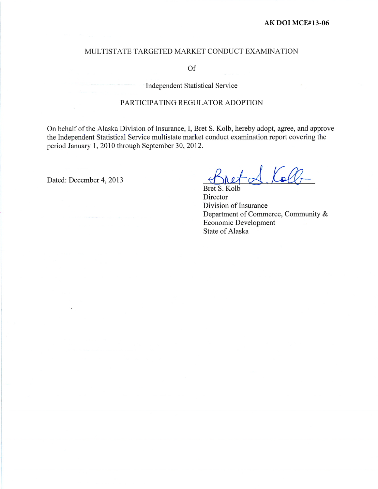#### MULTISTATE TARGETED MARKET CONDUCT EXAMINATION

Of

**Independent Statistical Service** 

#### PARTICIPATING REGULATOR ADOPTION

On behalf of the Alaska Division of Insurance, I, Bret S. Kolb, hereby adopt, agree, and approve the Independent Statistical Service multistate market conduct examination report covering the period January 1, 2010 through September 30, 2012.

Dated: December 4, 2013

 $\triangle$  Koll-

**Bret** Director Division of Insurance Department of Commerce, Community & Economic Development **State of Alaska**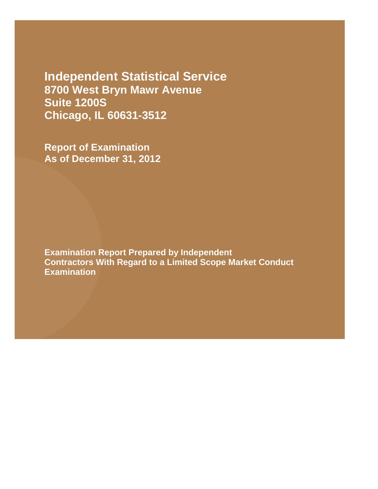**Independent Statistical Service 8700 West Bryn Mawr Avenue Suite 1200S Chicago, IL 60631-3512**

**Report of Examination As of December 31, 2012**

**Examination Report Prepared by Independent Contractors With Regard to a Limited Scope Market Conduct Examination**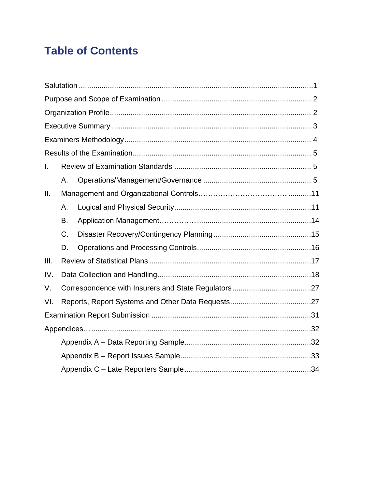# **Table of Contents**

| $\mathbf{I}$ . |    |  |  |  |  |
|----------------|----|--|--|--|--|
|                | Α. |  |  |  |  |
| Ш.             |    |  |  |  |  |
|                | А. |  |  |  |  |
|                | В. |  |  |  |  |
|                | C. |  |  |  |  |
|                | D. |  |  |  |  |
| III.           |    |  |  |  |  |
| IV.            |    |  |  |  |  |
| V.             |    |  |  |  |  |
| VI.            |    |  |  |  |  |
|                |    |  |  |  |  |
|                |    |  |  |  |  |
|                |    |  |  |  |  |
|                |    |  |  |  |  |
|                |    |  |  |  |  |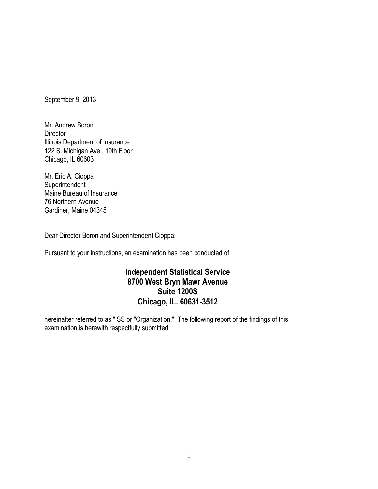September 9, 2013

Mr. Andrew Boron **Director** Illinois Department of Insurance 122 S. Michigan Ave., 19th Floor Chicago, IL 60603

Mr. Eric A. Cioppa **Superintendent** Maine Bureau of Insurance 76 Northern Avenue Gardiner, Maine 04345

Dear Director Boron and Superintendent Cioppa:

Pursuant to your instructions, an examination has been conducted of:

## **Independent Statistical Service 8700 West Bryn Mawr Avenue Suite 1200S Chicago, IL. 60631-3512**

hereinafter referred to as "ISS or "Organization." The following report of the findings of this examination is herewith respectfully submitted.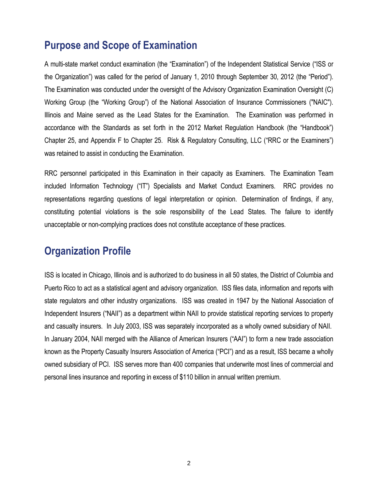## **Purpose and Scope of Examination**

A multi-state market conduct examination (the "Examination") of the Independent Statistical Service ("ISS or the Organization") was called for the period of January 1, 2010 through September 30, 2012 (the "Period"). The Examination was conducted under the oversight of the Advisory Organization Examination Oversight (C) Working Group (the "Working Group") of the National Association of Insurance Commissioners ("NAIC"). Illinois and Maine served as the Lead States for the Examination. The Examination was performed in accordance with the Standards as set forth in the 2012 Market Regulation Handbook (the "Handbook") Chapter 25, and Appendix F to Chapter 25. Risk & Regulatory Consulting, LLC ("RRC or the Examiners") was retained to assist in conducting the Examination.

RRC personnel participated in this Examination in their capacity as Examiners. The Examination Team included Information Technology ("IT") Specialists and Market Conduct Examiners. RRC provides no representations regarding questions of legal interpretation or opinion. Determination of findings, if any, constituting potential violations is the sole responsibility of the Lead States. The failure to identify unacceptable or non-complying practices does not constitute acceptance of these practices.

## **Organization Profile**

ISS is located in Chicago, Illinois and is authorized to do business in all 50 states, the District of Columbia and Puerto Rico to act as a statistical agent and advisory organization. ISS files data, information and reports with state regulators and other industry organizations. ISS was created in 1947 by the National Association of Independent Insurers ("NAII") as a department within NAII to provide statistical reporting services to property and casualty insurers. In July 2003, ISS was separately incorporated as a wholly owned subsidiary of NAII. In January 2004, NAII merged with the Alliance of American Insurers ("AAI") to form a new trade association known as the Property Casualty Insurers Association of America ("PCI") and as a result, ISS became a wholly owned subsidiary of PCI. ISS serves more than 400 companies that underwrite most lines of commercial and personal lines insurance and reporting in excess of \$110 billion in annual written premium.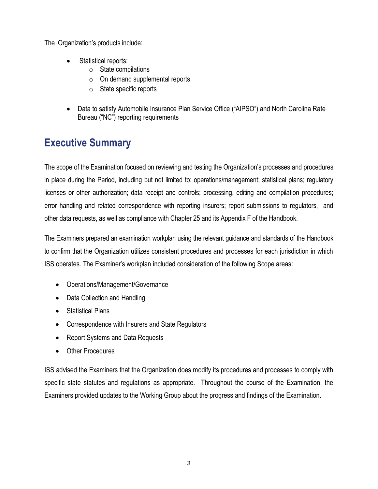The Organization's products include:

- Statistical reports:
	- $\circ$  State compilations
	- o On demand supplemental reports
	- $\circ$  State specific reports
- Data to satisfy Automobile Insurance Plan Service Office ("AIPSO") and North Carolina Rate Bureau ("NC") reporting requirements

## **Executive Summary**

The scope of the Examination focused on reviewing and testing the Organization's processes and procedures in place during the Period, including but not limited to: operations/management; statistical plans; regulatory licenses or other authorization; data receipt and controls; processing, editing and compilation procedures; error handling and related correspondence with reporting insurers; report submissions to regulators, and other data requests, as well as compliance with Chapter 25 and its Appendix F of the Handbook.

The Examiners prepared an examination workplan using the relevant guidance and standards of the Handbook to confirm that the Organization utilizes consistent procedures and processes for each jurisdiction in which ISS operates. The Examiner's workplan included consideration of the following Scope areas:

- Operations/Management/Governance
- Data Collection and Handling
- Statistical Plans
- Correspondence with Insurers and State Regulators
- Report Systems and Data Requests
- Other Procedures

ISS advised the Examiners that the Organization does modify its procedures and processes to comply with specific state statutes and regulations as appropriate. Throughout the course of the Examination, the Examiners provided updates to the Working Group about the progress and findings of the Examination.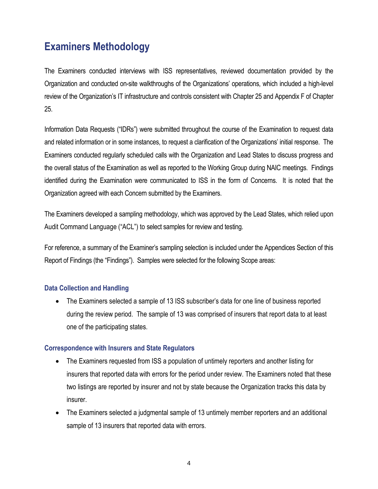## **Examiners Methodology**

The Examiners conducted interviews with ISS representatives, reviewed documentation provided by the Organization and conducted on-site walkthroughs of the Organizations' operations, which included a high-level review of the Organization's IT infrastructure and controls consistent with Chapter 25 and Appendix F of Chapter 25.

Information Data Requests ("IDRs") were submitted throughout the course of the Examination to request data and related information or in some instances, to request a clarification of the Organizations' initial response. The Examiners conducted regularly scheduled calls with the Organization and Lead States to discuss progress and the overall status of the Examination as well as reported to the Working Group during NAIC meetings. Findings identified during the Examination were communicated to ISS in the form of Concerns. It is noted that the Organization agreed with each Concern submitted by the Examiners.

The Examiners developed a sampling methodology, which was approved by the Lead States, which relied upon Audit Command Language ("ACL") to select samples for review and testing.

For reference, a summary of the Examiner's sampling selection is included under the Appendices Section of this Report of Findings (the "Findings"). Samples were selected for the following Scope areas:

## **Data Collection and Handling**

• The Examiners selected a sample of 13 ISS subscriber's data for one line of business reported during the review period. The sample of 13 was comprised of insurers that report data to at least one of the participating states.

## **Correspondence with Insurers and State Regulators**

- The Examiners requested from ISS a population of untimely reporters and another listing for insurers that reported data with errors for the period under review. The Examiners noted that these two listings are reported by insurer and not by state because the Organization tracks this data by insurer.
- The Examiners selected a judgmental sample of 13 untimely member reporters and an additional sample of 13 insurers that reported data with errors.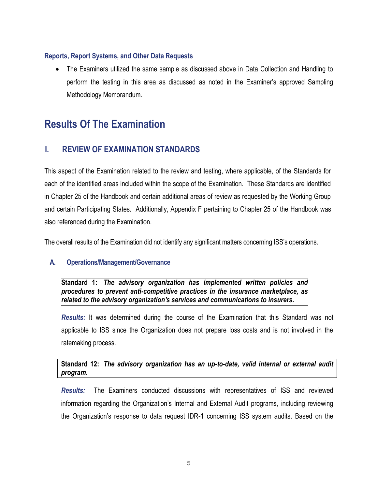## **Reports, Report Systems, and Other Data Requests**

 The Examiners utilized the same sample as discussed above in Data Collection and Handling to perform the testing in this area as discussed as noted in the Examiner's approved Sampling Methodology Memorandum.

## **Results Of The Examination**

## **I. REVIEW OF EXAMINATION STANDARDS**

This aspect of the Examination related to the review and testing, where applicable, of the Standards for each of the identified areas included within the scope of the Examination. These Standards are identified in Chapter 25 of the Handbook and certain additional areas of review as requested by the Working Group and certain Participating States. Additionally, Appendix F pertaining to Chapter 25 of the Handbook was also referenced during the Examination.

The overall results of the Examination did not identify any significant matters concerning ISS's operations.

## **A. Operations/Management/Governance**

**Standard 1:** *The advisory organization has implemented written policies and procedures to prevent anti-competitive practices in the insurance marketplace, as related to the advisory organization's services and communications to insurers.*

*Results:* It was determined during the course of the Examination that this Standard was not applicable to ISS since the Organization does not prepare loss costs and is not involved in the ratemaking process.

## **Standard 12:** *The advisory organization has an up-to-date, valid internal or external audit program.*

*Results:* The Examiners conducted discussions with representatives of ISS and reviewed information regarding the Organization's Internal and External Audit programs, including reviewing the Organization's response to data request IDR-1 concerning ISS system audits. Based on the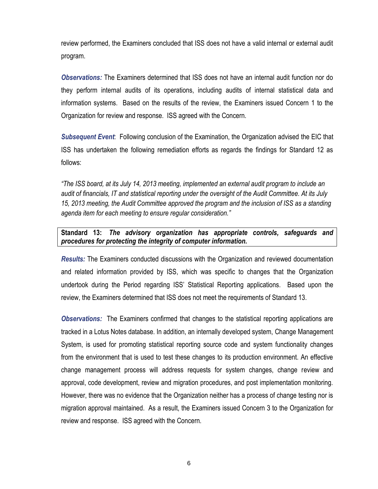review performed, the Examiners concluded that ISS does not have a valid internal or external audit program.

*Observations:* The Examiners determined that ISS does not have an internal audit function nor do they perform internal audits of its operations, including audits of internal statistical data and information systems. Based on the results of the review, the Examiners issued Concern 1 to the Organization for review and response. ISS agreed with the Concern.

*Subsequent Event*: Following conclusion of the Examination, the Organization advised the EIC that ISS has undertaken the following remediation efforts as regards the findings for Standard 12 as follows:

*"The ISS board, at its July 14, 2013 meeting, implemented an external audit program to include an audit of financials, IT and statistical reporting under the oversight of the Audit Committee. At its July 15, 2013 meeting, the Audit Committee approved the program and the inclusion of ISS as a standing agenda item for each meeting to ensure regular consideration."*

#### **Standard 13:** *The advisory organization has appropriate controls, safeguards and procedures for protecting the integrity of computer information.*

*Results:* The Examiners conducted discussions with the Organization and reviewed documentation and related information provided by ISS, which was specific to changes that the Organization undertook during the Period regarding ISS' Statistical Reporting applications. Based upon the review, the Examiners determined that ISS does not meet the requirements of Standard 13.

**Observations:** The Examiners confirmed that changes to the statistical reporting applications are tracked in a Lotus Notes database. In addition, an internally developed system, Change Management System, is used for promoting statistical reporting source code and system functionality changes from the environment that is used to test these changes to its production environment. An effective change management process will address requests for system changes, change review and approval, code development, review and migration procedures, and post implementation monitoring. However, there was no evidence that the Organization neither has a process of change testing nor is migration approval maintained. As a result, the Examiners issued Concern 3 to the Organization for review and response. ISS agreed with the Concern.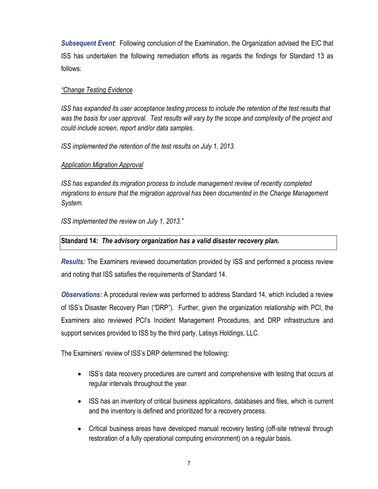*Subsequent Event*: Following conclusion of the Examination, the Organization advised the EIC that ISS has undertaken the following remediation efforts as regards the findings for Standard 13 as follows:

### *"Change Testing Evidence*

*ISS has expanded its user acceptance testing process to include the retention of the test results that was the basis for user approval. Test results will vary by the scope and complexity of the project and could include screen, report and/or data samples.* 

*ISS implemented the retention of the test results on July 1, 2013.*

#### *Application Migration Approval*

*ISS has expanded its migration process to include management review of recently completed migrations to ensure that the migration approval has been documented in the Change Management System.* 

*ISS implemented the review on July 1, 2013."*

### **Standard 14:** *The advisory organization has a valid disaster recovery plan.*

*Results:* The Examiners reviewed documentation provided by ISS and performed a process review and noting that ISS satisfies the requirements of Standard 14.

*Observations:* A procedural review was performed to address Standard 14, which included a review of ISS's Disaster Recovery Plan ("DRP"). Further, given the organization relationship with PCI, the Examiners also reviewed PCI's Incident Management Procedures, and DRP infrastructure and support services provided to ISS by the third party, Latisys Holdings, LLC.

The Examiners' review of ISS's DRP determined the following:

- ISS's data recovery procedures are current and comprehensive with testing that occurs at regular intervals throughout the year.
- ISS has an inventory of critical business applications, databases and files, which is current and the inventory is defined and prioritized for a recovery process.
- Critical business areas have developed manual recovery testing (off-site retrieval through restoration of a fully operational computing environment) on a regular basis.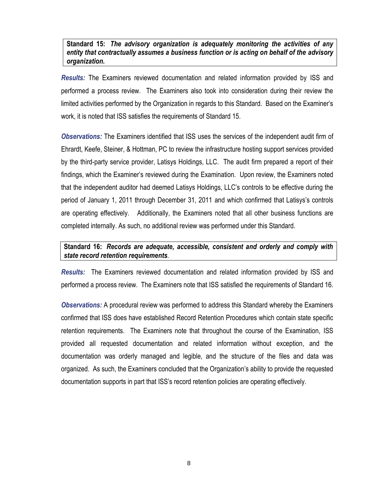#### **Standard 15:** *The advisory organization is adequately monitoring the activities of any entity that contractually assumes a business function or is acting on behalf of the advisory organization.*

*Results:* The Examiners reviewed documentation and related information provided by ISS and performed a process review. The Examiners also took into consideration during their review the limited activities performed by the Organization in regards to this Standard. Based on the Examiner's work, it is noted that ISS satisfies the requirements of Standard 15.

*Observations:* The Examiners identified that ISS uses the services of the independent audit firm of Ehrardt, Keefe, Steiner, & Hottman, PC to review the infrastructure hosting support services provided by the third-party service provider, Latisys Holdings, LLC. The audit firm prepared a report of their findings, which the Examiner's reviewed during the Examination. Upon review, the Examiners noted that the independent auditor had deemed Latisys Holdings, LLC's controls to be effective during the period of January 1, 2011 through December 31, 2011 and which confirmed that Latisys's controls are operating effectively. Additionally, the Examiners noted that all other business functions are completed internally. As such, no additional review was performed under this Standard.

## **Standard 16:** *Records are adequate, accessible, consistent and orderly and comply with state record retention requirements.*

*Results:* The Examiners reviewed documentation and related information provided by ISS and performed a process review. The Examiners note that ISS satisfied the requirements of Standard 16.

*Observations:* A procedural review was performed to address this Standard whereby the Examiners confirmed that ISS does have established Record Retention Procedures which contain state specific retention requirements. The Examiners note that throughout the course of the Examination, ISS provided all requested documentation and related information without exception, and the documentation was orderly managed and legible, and the structure of the files and data was organized. As such, the Examiners concluded that the Organization's ability to provide the requested documentation supports in part that ISS's record retention policies are operating effectively.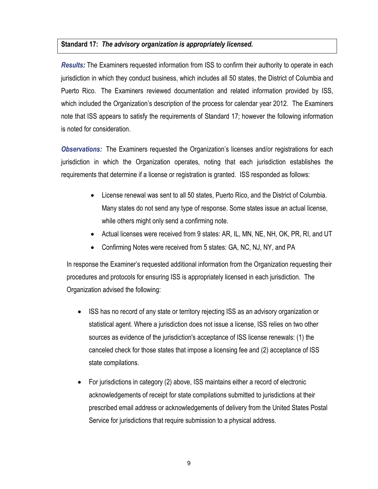#### **Standard 17:** *The advisory organization is appropriately licensed.*

*Results:* The Examiners requested information from ISS to confirm their authority to operate in each jurisdiction in which they conduct business, which includes all 50 states, the District of Columbia and Puerto Rico. The Examiners reviewed documentation and related information provided by ISS, which included the Organization's description of the process for calendar year 2012. The Examiners note that ISS appears to satisfy the requirements of Standard 17; however the following information is noted for consideration.

*Observations:* The Examiners requested the Organization's licenses and/or registrations for each jurisdiction in which the Organization operates, noting that each jurisdiction establishes the requirements that determine if a license or registration is granted. ISS responded as follows:

- License renewal was sent to all 50 states, Puerto Rico, and the District of Columbia. Many states do not send any type of response. Some states issue an actual license, while others might only send a confirming note.
- Actual licenses were received from 9 states: AR, IL, MN, NE, NH, OK, PR, RI, and UT
- Confirming Notes were received from 5 states: GA, NC, NJ, NY, and PA

In response the Examiner's requested additional information from the Organization requesting their procedures and protocols for ensuring ISS is appropriately licensed in each jurisdiction. The Organization advised the following:

- ISS has no record of any state or territory rejecting ISS as an advisory organization or statistical agent. Where a jurisdiction does not issue a license, ISS relies on two other sources as evidence of the jurisdiction's acceptance of ISS license renewals: (1) the canceled check for those states that impose a licensing fee and (2) acceptance of ISS state compilations.
- For jurisdictions in category (2) above, ISS maintains either a record of electronic acknowledgements of receipt for state compilations submitted to jurisdictions at their prescribed email address or acknowledgements of delivery from the United States Postal Service for jurisdictions that require submission to a physical address.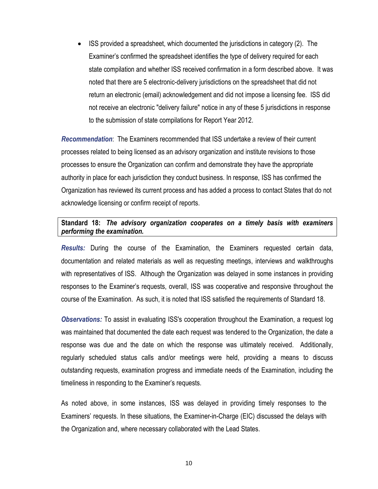ISS provided a spreadsheet, which documented the jurisdictions in category (2). The Examiner's confirmed the spreadsheet identifies the type of delivery required for each state compilation and whether ISS received confirmation in a form described above. It was noted that there are 5 electronic-delivery jurisdictions on the spreadsheet that did not return an electronic (email) acknowledgement and did not impose a licensing fee. ISS did not receive an electronic "delivery failure" notice in any of these 5 jurisdictions in response to the submission of state compilations for Report Year 2012.

*Recommendation*: The Examiners recommended that ISS undertake a review of their current processes related to being licensed as an advisory organization and institute revisions to those processes to ensure the Organization can confirm and demonstrate they have the appropriate authority in place for each jurisdiction they conduct business. In response, ISS has confirmed the Organization has reviewed its current process and has added a process to contact States that do not acknowledge licensing or confirm receipt of reports.

#### **Standard 18:** *The advisory organization cooperates on a timely basis with examiners performing the examination.*

*Results:* During the course of the Examination, the Examiners requested certain data, documentation and related materials as well as requesting meetings, interviews and walkthroughs with representatives of ISS. Although the Organization was delayed in some instances in providing responses to the Examiner's requests, overall, ISS was cooperative and responsive throughout the course of the Examination. As such, it is noted that ISS satisfied the requirements of Standard 18.

*Observations:* To assist in evaluating ISS's cooperation throughout the Examination, a request log was maintained that documented the date each request was tendered to the Organization, the date a response was due and the date on which the response was ultimately received. Additionally, regularly scheduled status calls and/or meetings were held, providing a means to discuss outstanding requests, examination progress and immediate needs of the Examination, including the timeliness in responding to the Examiner's requests.

As noted above, in some instances, ISS was delayed in providing timely responses to the Examiners' requests. In these situations, the Examiner-in-Charge (EIC) discussed the delays with the Organization and, where necessary collaborated with the Lead States.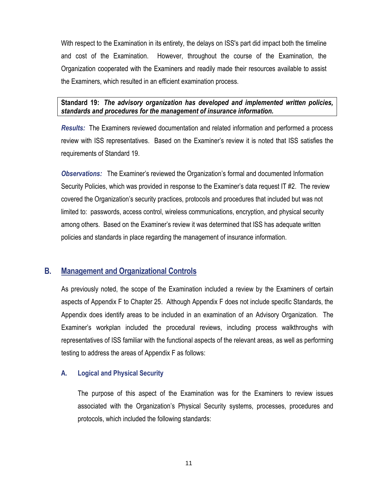With respect to the Examination in its entirety, the delays on ISS's part did impact both the timeline and cost of the Examination. However, throughout the course of the Examination, the Organization cooperated with the Examiners and readily made their resources available to assist the Examiners, which resulted in an efficient examination process.

## **Standard 19:** *The advisory organization has developed and implemented written policies, standards and procedures for the management of insurance information.*

*Results:* The Examiners reviewed documentation and related information and performed a process review with ISS representatives. Based on the Examiner's review it is noted that ISS satisfies the requirements of Standard 19.

*Observations:* The Examiner's reviewed the Organization's formal and documented Information Security Policies, which was provided in response to the Examiner's data request IT #2. The review covered the Organization's security practices, protocols and procedures that included but was not limited to: passwords, access control, wireless communications, encryption, and physical security among others. Based on the Examiner's review it was determined that ISS has adequate written policies and standards in place regarding the management of insurance information.

## **B. Management and Organizational Controls**

As previously noted, the scope of the Examination included a review by the Examiners of certain aspects of Appendix F to Chapter 25. Although Appendix F does not include specific Standards, the Appendix does identify areas to be included in an examination of an Advisory Organization. The Examiner's workplan included the procedural reviews, including process walkthroughs with representatives of ISS familiar with the functional aspects of the relevant areas, as well as performing testing to address the areas of Appendix F as follows:

## **A. Logical and Physical Security**

The purpose of this aspect of the Examination was for the Examiners to review issues associated with the Organization's Physical Security systems, processes, procedures and protocols, which included the following standards: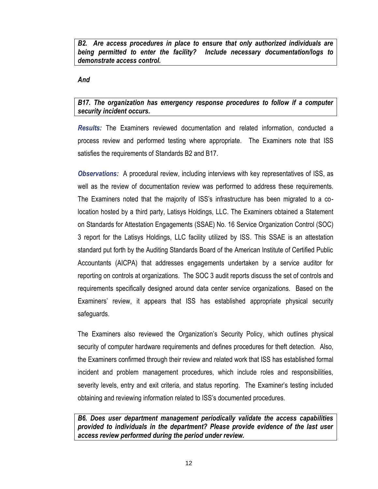*B2. Are access procedures in place to ensure that only authorized individuals are being permitted to enter the facility? Include necessary documentation/logs to demonstrate access control.*

*And*

## *B17. The organization has emergency response procedures to follow if a computer security incident occurs.*

*Results:* The Examiners reviewed documentation and related information, conducted a process review and performed testing where appropriate. The Examiners note that ISS satisfies the requirements of Standards B2 and B17.

*Observations:* A procedural review, including interviews with key representatives of ISS, as well as the review of documentation review was performed to address these requirements. The Examiners noted that the majority of ISS's infrastructure has been migrated to a colocation hosted by a third party, Latisys Holdings, LLC. The Examiners obtained a Statement on Standards for Attestation Engagements (SSAE) No. 16 Service Organization Control (SOC) 3 report for the Latisys Holdings, LLC facility utilized by ISS. This SSAE is an attestation standard put forth by the Auditing Standards Board of the American Institute of Certified Public Accountants (AICPA) that addresses engagements undertaken by a service auditor for reporting on controls at organizations. The SOC 3 audit reports discuss the set of controls and requirements specifically designed around data center service organizations. Based on the Examiners' review, it appears that ISS has established appropriate physical security safeguards.

The Examiners also reviewed the Organization's Security Policy, which outlines physical security of computer hardware requirements and defines procedures for theft detection. Also, the Examiners confirmed through their review and related work that ISS has established formal incident and problem management procedures, which include roles and responsibilities, severity levels, entry and exit criteria, and status reporting. The Examiner's testing included obtaining and reviewing information related to ISS's documented procedures.

*B6. Does user department management periodically validate the access capabilities provided to individuals in the department? Please provide evidence of the last user access review performed during the period under review.*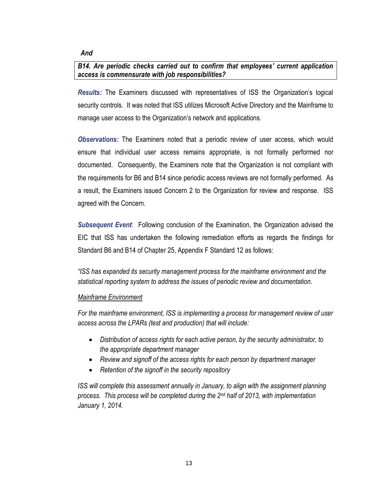#### *And*

### *B14. Are periodic checks carried out to confirm that employees' current application access is commensurate with job responsibilities?*

*Results:* The Examiners discussed with representatives of ISS the Organization's logical security controls. It was noted that ISS utilizes Microsoft Active Directory and the Mainframe to manage user access to the Organization's network and applications.

*Observations:* The Examiners noted that a periodic review of user access, which would ensure that individual user access remains appropriate, is not formally performed nor documented. Consequently, the Examiners note that the Organization is not compliant with the requirements for B6 and B14 since periodic access reviews are not formally performed. As a result, the Examiners issued Concern 2 to the Organization for review and response. ISS agreed with the Concern.

*Subsequent Event*: Following conclusion of the Examination, the Organization advised the EIC that ISS has undertaken the following remediation efforts as regards the findings for Standard B6 and B14 of Chapter 25, Appendix F Standard 12 as follows:

*"ISS has expanded its security management process for the mainframe environment and the statistical reporting system to address the issues of periodic review and documentation.*

#### *Mainframe Environment*

*For the mainframe environment, ISS is implementing a process for management review of user access across the LPARs (test and production) that will include:*

- *Distribution of access rights for each active person, by the security administrator, to the appropriate department manager*
- *Review and signoff of the access rights for each person by department manager*
- *Retention of the signoff in the security repository*

*ISS will complete this assessment annually in January, to align with the assignment planning process. This process will be completed during the 2nd half of 2013, with implementation January 1, 2014.*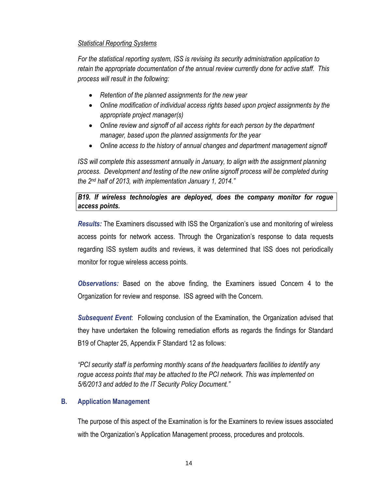## *Statistical Reporting Systems*

*For the statistical reporting system, ISS is revising its security administration application to retain the appropriate documentation of the annual review currently done for active staff. This process will result in the following:* 

- *Retention of the planned assignments for the new year*
- *Online modification of individual access rights based upon project assignments by the appropriate project manager(s)*
- *Online review and signoff of all access rights for each person by the department manager, based upon the planned assignments for the year*
- *Online access to the history of annual changes and department management signoff*

*ISS will complete this assessment annually in January, to align with the assignment planning process. Development and testing of the new online signoff process will be completed during the 2nd half of 2013, with implementation January 1, 2014."*

## *B19. If wireless technologies are deployed, does the company monitor for rogue access points.*

*Results:* The Examiners discussed with ISS the Organization's use and monitoring of wireless access points for network access. Through the Organization's response to data requests regarding ISS system audits and reviews, it was determined that ISS does not periodically monitor for rogue wireless access points.

*Observations:* Based on the above finding, the Examiners issued Concern 4 to the Organization for review and response. ISS agreed with the Concern.

*Subsequent Event*: Following conclusion of the Examination, the Organization advised that they have undertaken the following remediation efforts as regards the findings for Standard B19 of Chapter 25, Appendix F Standard 12 as follows:

*"PCI security staff is performing monthly scans of the headquarters facilities to identify any rogue access points that may be attached to the PCI network. This was implemented on 5/6/2013 and added to the IT Security Policy Document."* 

## **B. Application Management**

The purpose of this aspect of the Examination is for the Examiners to review issues associated with the Organization's Application Management process, procedures and protocols.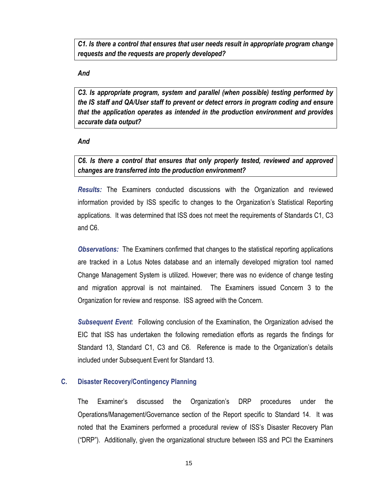*C1. Is there a control that ensures that user needs result in appropriate program change requests and the requests are properly developed?*

#### *And*

*C3. Is appropriate program, system and parallel (when possible) testing performed by the IS staff and QA/User staff to prevent or detect errors in program coding and ensure that the application operates as intended in the production environment and provides accurate data output?*

#### *And*

*C6. Is there a control that ensures that only properly tested, reviewed and approved changes are transferred into the production environment?*

*Results:* The Examiners conducted discussions with the Organization and reviewed information provided by ISS specific to changes to the Organization's Statistical Reporting applications. It was determined that ISS does not meet the requirements of Standards C1, C3 and C6.

*Observations:* The Examiners confirmed that changes to the statistical reporting applications are tracked in a Lotus Notes database and an internally developed migration tool named Change Management System is utilized. However; there was no evidence of change testing and migration approval is not maintained. The Examiners issued Concern 3 to the Organization for review and response. ISS agreed with the Concern.

*Subsequent Event*: Following conclusion of the Examination, the Organization advised the EIC that ISS has undertaken the following remediation efforts as regards the findings for Standard 13, Standard C1, C3 and C6. Reference is made to the Organization's details included under Subsequent Event for Standard 13.

## **C. Disaster Recovery/Contingency Planning**

The Examiner's discussed the Organization's DRP procedures under the Operations/Management/Governance section of the Report specific to Standard 14. It was noted that the Examiners performed a procedural review of ISS's Disaster Recovery Plan ("DRP"). Additionally, given the organizational structure between ISS and PCI the Examiners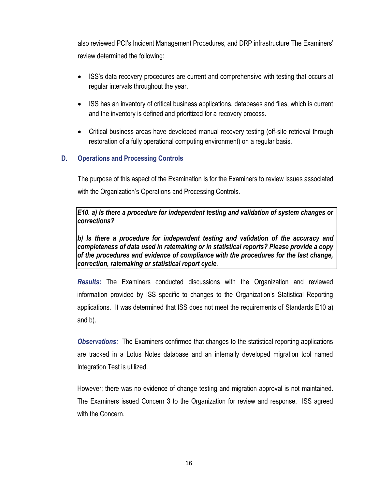also reviewed PCI's Incident Management Procedures, and DRP infrastructure The Examiners' review determined the following:

- ISS's data recovery procedures are current and comprehensive with testing that occurs at regular intervals throughout the year.
- ISS has an inventory of critical business applications, databases and files, which is current and the inventory is defined and prioritized for a recovery process.
- Critical business areas have developed manual recovery testing (off-site retrieval through restoration of a fully operational computing environment) on a regular basis.

## **D. Operations and Processing Controls**

The purpose of this aspect of the Examination is for the Examiners to review issues associated with the Organization's Operations and Processing Controls.

*E10. a) Is there a procedure for independent testing and validation of system changes or corrections?*

*b) Is there a procedure for independent testing and validation of the accuracy and completeness of data used in ratemaking or in statistical reports? Please provide a copy of the procedures and evidence of compliance with the procedures for the last change, correction, ratemaking or statistical report cycle.*

*Results:* The Examiners conducted discussions with the Organization and reviewed information provided by ISS specific to changes to the Organization's Statistical Reporting applications. It was determined that ISS does not meet the requirements of Standards E10 a) and b).

*Observations:* The Examiners confirmed that changes to the statistical reporting applications are tracked in a Lotus Notes database and an internally developed migration tool named Integration Test is utilized.

However; there was no evidence of change testing and migration approval is not maintained. The Examiners issued Concern 3 to the Organization for review and response. ISS agreed with the Concern.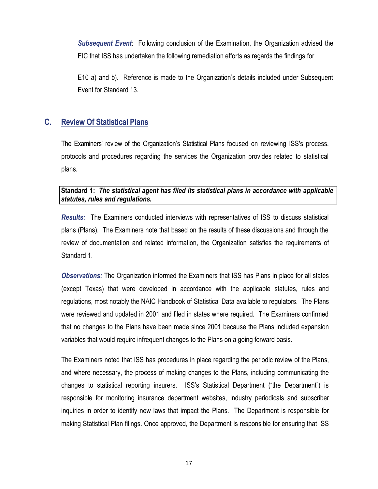*Subsequent Event*: Following conclusion of the Examination, the Organization advised the EIC that ISS has undertaken the following remediation efforts as regards the findings for

E10 a) and b). Reference is made to the Organization's details included under Subsequent Event for Standard 13.

## **C. Review Of Statistical Plans**

The Examiners' review of the Organization's Statistical Plans focused on reviewing ISS's process, protocols and procedures regarding the services the Organization provides related to statistical plans.

## **Standard 1:** *The statistical agent has filed its statistical plans in accordance with applicable statutes, rules and regulations.*

*Results:* The Examiners conducted interviews with representatives of ISS to discuss statistical plans (Plans). The Examiners note that based on the results of these discussions and through the review of documentation and related information, the Organization satisfies the requirements of Standard 1.

*Observations:* The Organization informed the Examiners that ISS has Plans in place for all states (except Texas) that were developed in accordance with the applicable statutes, rules and regulations, most notably the NAIC Handbook of Statistical Data available to regulators. The Plans were reviewed and updated in 2001 and filed in states where required. The Examiners confirmed that no changes to the Plans have been made since 2001 because the Plans included expansion variables that would require infrequent changes to the Plans on a going forward basis.

The Examiners noted that ISS has procedures in place regarding the periodic review of the Plans, and where necessary, the process of making changes to the Plans, including communicating the changes to statistical reporting insurers. ISS's Statistical Department ("the Department") is responsible for monitoring insurance department websites, industry periodicals and subscriber inquiries in order to identify new laws that impact the Plans. The Department is responsible for making Statistical Plan filings. Once approved, the Department is responsible for ensuring that ISS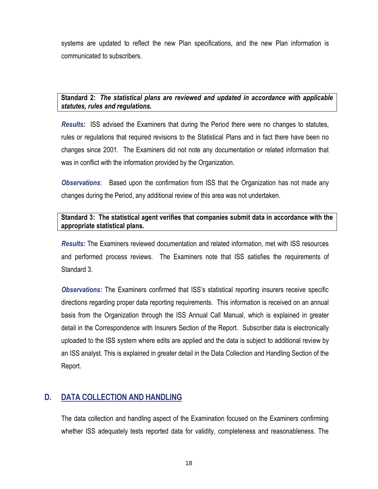systems are updated to reflect the new Plan specifications, and the new Plan information is communicated to subscribers.

## **Standard 2:** *The statistical plans are reviewed and updated in accordance with applicable statutes, rules and regulations.*

*Results:* ISS advised the Examiners that during the Period there were no changes to statutes, rules or regulations that required revisions to the Statistical Plans and in fact there have been no changes since 2001. The Examiners did not note any documentation or related information that was in conflict with the information provided by the Organization.

*Observations*: Based upon the confirmation from ISS that the Organization has not made any changes during the Period, any additional review of this area was not undertaken.

## **Standard 3: The statistical agent verifies that companies submit data in accordance with the appropriate statistical plans.**

*Results:* The Examiners reviewed documentation and related information, met with ISS resources and performed process reviews. The Examiners note that ISS satisfies the requirements of Standard 3.

*Observations:* The Examiners confirmed that ISS's statistical reporting insurers receive specific directions regarding proper data reporting requirements. This information is received on an annual basis from the Organization through the ISS Annual Call Manual, which is explained in greater detail in the Correspondence with Insurers Section of the Report. Subscriber data is electronically uploaded to the ISS system where edits are applied and the data is subject to additional review by an ISS analyst. This is explained in greater detail in the Data Collection and Handling Section of the Report.

## **D. DATA COLLECTION AND HANDLING**

The data collection and handling aspect of the Examination focused on the Examiners confirming whether ISS adequately tests reported data for validity, completeness and reasonableness. The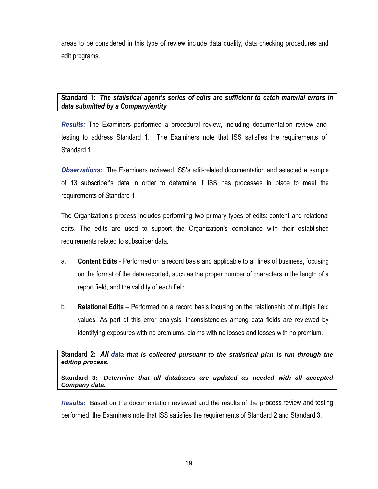areas to be considered in this type of review include data quality, data checking procedures and edit programs.

## **Standard 1:** *The statistical agent's series of edits are sufficient to catch material errors in data submitted by a Company/entity.*

*Results:* The Examiners performed a procedural review, including documentation review and testing to address Standard 1. The Examiners note that ISS satisfies the requirements of Standard 1.

*Observations:* The Examiners reviewed ISS's edit-related documentation and selected a sample of 13 subscriber's data in order to determine if ISS has processes in place to meet the requirements of Standard 1.

The Organization's process includes performing two primary types of edits: content and relational edits. The edits are used to support the Organization's compliance with their established requirements related to subscriber data.

- a. **Content Edits** Performed on a record basis and applicable to all lines of business, focusing on the format of the data reported, such as the proper number of characters in the length of a report field, and the validity of each field.
- b. **Relational Edits** Performed on a record basis focusing on the relationship of multiple field values. As part of this error analysis, inconsistencies among data fields are reviewed by identifying exposures with no premiums, claims with no losses and losses with no premium.

**Standard 2:** *All data that is collected pursuant to the statistical plan is run through the editing process.* 

**Standard 3***: Determine that all databases are updated as needed with all accepted Company data.*

*Results:* Based on the documentation reviewed and the results of the process review and testing performed, the Examiners note that ISS satisfies the requirements of Standard 2 and Standard 3.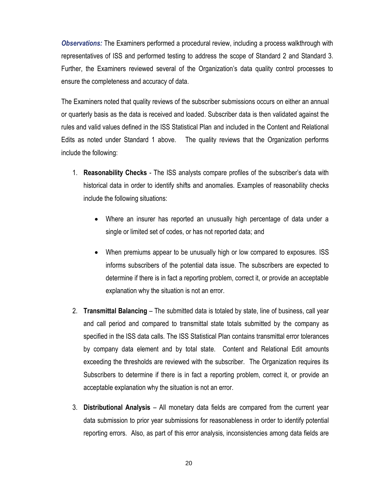*Observations:* The Examiners performed a procedural review, including a process walkthrough with representatives of ISS and performed testing to address the scope of Standard 2 and Standard 3. Further, the Examiners reviewed several of the Organization's data quality control processes to ensure the completeness and accuracy of data.

The Examiners noted that quality reviews of the subscriber submissions occurs on either an annual or quarterly basis as the data is received and loaded. Subscriber data is then validated against the rules and valid values defined in the ISS Statistical Plan and included in the Content and Relational Edits as noted under Standard 1 above. The quality reviews that the Organization performs include the following:

- 1. **Reasonability Checks** The ISS analysts compare profiles of the subscriber's data with historical data in order to identify shifts and anomalies. Examples of reasonability checks include the following situations:
	- Where an insurer has reported an unusually high percentage of data under a single or limited set of codes, or has not reported data; and
	- When premiums appear to be unusually high or low compared to exposures. ISS informs subscribers of the potential data issue. The subscribers are expected to determine if there is in fact a reporting problem, correct it, or provide an acceptable explanation why the situation is not an error.
- 2. **Transmittal Balancing** The submitted data is totaled by state, line of business, call year and call period and compared to transmittal state totals submitted by the company as specified in the ISS data calls. The ISS Statistical Plan contains transmittal error tolerances by company data element and by total state. Content and Relational Edit amounts exceeding the thresholds are reviewed with the subscriber. The Organization requires its Subscribers to determine if there is in fact a reporting problem, correct it, or provide an acceptable explanation why the situation is not an error.
- 3. **Distributional Analysis** All monetary data fields are compared from the current year data submission to prior year submissions for reasonableness in order to identify potential reporting errors. Also, as part of this error analysis, inconsistencies among data fields are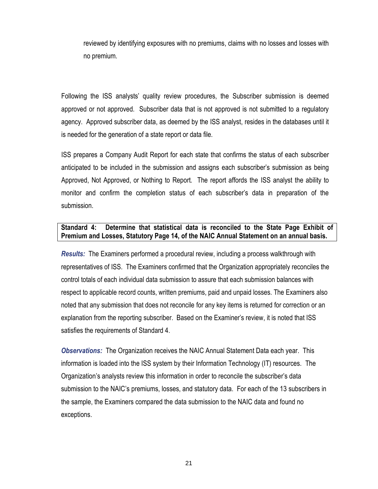reviewed by identifying exposures with no premiums, claims with no losses and losses with no premium.

Following the ISS analysts' quality review procedures, the Subscriber submission is deemed approved or not approved. Subscriber data that is not approved is not submitted to a regulatory agency. Approved subscriber data, as deemed by the ISS analyst, resides in the databases until it is needed for the generation of a state report or data file.

ISS prepares a Company Audit Report for each state that confirms the status of each subscriber anticipated to be included in the submission and assigns each subscriber's submission as being Approved, Not Approved, or Nothing to Report. The report affords the ISS analyst the ability to monitor and confirm the completion status of each subscriber's data in preparation of the submission.

### **Standard 4: Determine that statistical data is reconciled to the State Page Exhibit of Premium and Losses, Statutory Page 14, of the NAIC Annual Statement on an annual basis.**

*Results:* The Examiners performed a procedural review, including a process walkthrough with representatives of ISS. The Examiners confirmed that the Organization appropriately reconciles the control totals of each individual data submission to assure that each submission balances with respect to applicable record counts, written premiums, paid and unpaid losses. The Examiners also noted that any submission that does not reconcile for any key items is returned for correction or an explanation from the reporting subscriber. Based on the Examiner's review, it is noted that ISS satisfies the requirements of Standard 4.

*Observations:* The Organization receives the NAIC Annual Statement Data each year. This information is loaded into the ISS system by their Information Technology (IT) resources. The Organization's analysts review this information in order to reconcile the subscriber's data submission to the NAIC's premiums, losses, and statutory data. For each of the 13 subscribers in the sample, the Examiners compared the data submission to the NAIC data and found no exceptions.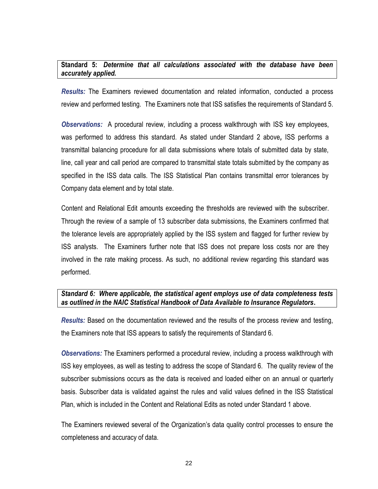## **Standard 5:** *Determine that all calculations associated with the database have been accurately applied.*

*Results:* The Examiners reviewed documentation and related information, conducted a process review and performed testing. The Examiners note that ISS satisfies the requirements of Standard 5.

*Observations:* A procedural review, including a process walkthrough with ISS key employees, was performed to address this standard. As stated under Standard 2 above*,* ISS performs a transmittal balancing procedure for all data submissions where totals of submitted data by state, line, call year and call period are compared to transmittal state totals submitted by the company as specified in the ISS data calls. The ISS Statistical Plan contains transmittal error tolerances by Company data element and by total state.

Content and Relational Edit amounts exceeding the thresholds are reviewed with the subscriber. Through the review of a sample of 13 subscriber data submissions, the Examiners confirmed that the tolerance levels are appropriately applied by the ISS system and flagged for further review by ISS analysts. The Examiners further note that ISS does not prepare loss costs nor are they involved in the rate making process. As such, no additional review regarding this standard was performed.

#### *Standard 6: Where applicable, the statistical agent employs use of data completeness tests as outlined in the NAIC Statistical Handbook of Data Available to Insurance Regulators***.**

*Results:* Based on the documentation reviewed and the results of the process review and testing, the Examiners note that ISS appears to satisfy the requirements of Standard 6.

*Observations:* The Examiners performed a procedural review, including a process walkthrough with ISS key employees, as well as testing to address the scope of Standard 6. The quality review of the subscriber submissions occurs as the data is received and loaded either on an annual or quarterly basis. Subscriber data is validated against the rules and valid values defined in the ISS Statistical Plan, which is included in the Content and Relational Edits as noted under Standard 1 above.

The Examiners reviewed several of the Organization's data quality control processes to ensure the completeness and accuracy of data.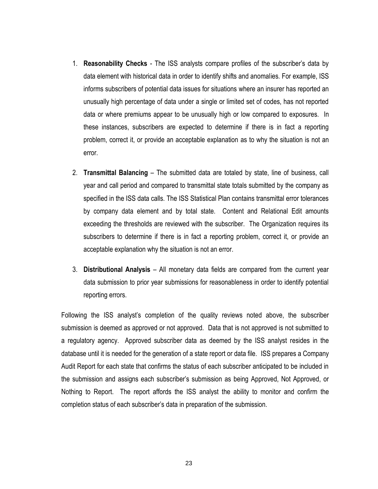- 1. **Reasonability Checks** The ISS analysts compare profiles of the subscriber's data by data element with historical data in order to identify shifts and anomalies. For example, ISS informs subscribers of potential data issues for situations where an insurer has reported an unusually high percentage of data under a single or limited set of codes, has not reported data or where premiums appear to be unusually high or low compared to exposures. In these instances, subscribers are expected to determine if there is in fact a reporting problem, correct it, or provide an acceptable explanation as to why the situation is not an error.
- 2. **Transmittal Balancing** The submitted data are totaled by state, line of business, call year and call period and compared to transmittal state totals submitted by the company as specified in the ISS data calls. The ISS Statistical Plan contains transmittal error tolerances by company data element and by total state. Content and Relational Edit amounts exceeding the thresholds are reviewed with the subscriber. The Organization requires its subscribers to determine if there is in fact a reporting problem, correct it, or provide an acceptable explanation why the situation is not an error.
- 3. **Distributional Analysis** All monetary data fields are compared from the current year data submission to prior year submissions for reasonableness in order to identify potential reporting errors.

Following the ISS analyst's completion of the quality reviews noted above, the subscriber submission is deemed as approved or not approved. Data that is not approved is not submitted to a regulatory agency. Approved subscriber data as deemed by the ISS analyst resides in the database until it is needed for the generation of a state report or data file. ISS prepares a Company Audit Report for each state that confirms the status of each subscriber anticipated to be included in the submission and assigns each subscriber's submission as being Approved, Not Approved, or Nothing to Report. The report affords the ISS analyst the ability to monitor and confirm the completion status of each subscriber's data in preparation of the submission.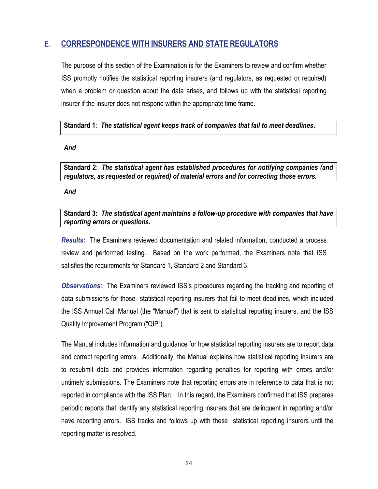## **E. CORRESPONDENCE WITH INSURERS AND STATE REGULATORS**

The purpose of this section of the Examination is for the Examiners to review and confirm whether ISS promptly notifies the statistical reporting insurers (and regulators, as requested or required) when a problem or question about the data arises, and follows up with the statistical reporting insurer if the insurer does not respond within the appropriate time frame.

## **Standard 1**: *The statistical agent keeps track of companies that fail to meet deadlines***.**

#### *And*

**Standard 2**: *The statistical agent has established procedures for notifying companies (and regulators, as requested or required) of material errors and for correcting those errors.*

*And*

## **Standard 3:** *The statistical agent maintains a follow-up procedure with companies that have reporting errors or questions.*

*Results:* The Examiners reviewed documentation and related information, conducted a process review and performed testing. Based on the work performed, the Examiners note that ISS satisfies the requirements for Standard 1, Standard 2 and Standard 3.

*Observations:* The Examiners reviewed ISS's procedures regarding the tracking and reporting of data submissions for those statistical reporting insurers that fail to meet deadlines, which included the ISS Annual Call Manual (the "Manual") that is sent to statistical reporting insurers, and the ISS Quality Improvement Program ("QIP").

The Manual includes information and guidance for how statistical reporting insurers are to report data and correct reporting errors. Additionally, the Manual explains how statistical reporting insurers are to resubmit data and provides information regarding penalties for reporting with errors and/or untimely submissions. The Examiners note that reporting errors are in reference to data that is not reported in compliance with the ISS Plan. In this regard, the Examiners confirmed that ISS prepares periodic reports that identify any statistical reporting insurers that are delinquent in reporting and/or have reporting errors. ISS tracks and follows up with these statistical reporting insurers until the reporting matter is resolved.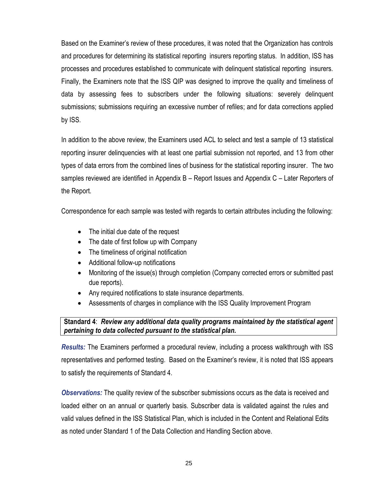Based on the Examiner's review of these procedures, it was noted that the Organization has controls and procedures for determining its statistical reporting insurers reporting status. In addition, ISS has processes and procedures established to communicate with delinquent statistical reporting insurers. Finally, the Examiners note that the ISS QIP was designed to improve the quality and timeliness of data by assessing fees to subscribers under the following situations: severely delinquent submissions; submissions requiring an excessive number of refiles; and for data corrections applied by ISS.

In addition to the above review, the Examiners used ACL to select and test a sample of 13 statistical reporting insurer delinquencies with at least one partial submission not reported, and 13 from other types of data errors from the combined lines of business for the statistical reporting insurer. The two samples reviewed are identified in Appendix B – Report Issues and Appendix C – Later Reporters of the Report.

Correspondence for each sample was tested with regards to certain attributes including the following:

- The initial due date of the request
- The date of first follow up with Company
- The timeliness of original notification
- Additional follow-up notifications
- Monitoring of the issue(s) through completion (Company corrected errors or submitted past due reports).
- Any required notifications to state insurance departments.
- Assessments of charges in compliance with the ISS Quality Improvement Program

## **Standard 4**: *Review any additional data quality programs maintained by the statistical agent pertaining to data collected pursuant to the statistical plan.*

*Results:* The Examiners performed a procedural review, including a process walkthrough with ISS representatives and performed testing. Based on the Examiner's review, it is noted that ISS appears to satisfy the requirements of Standard 4.

*Observations:* The quality review of the subscriber submissions occurs as the data is received and loaded either on an annual or quarterly basis. Subscriber data is validated against the rules and valid values defined in the ISS Statistical Plan, which is included in the Content and Relational Edits as noted under Standard 1 of the Data Collection and Handling Section above.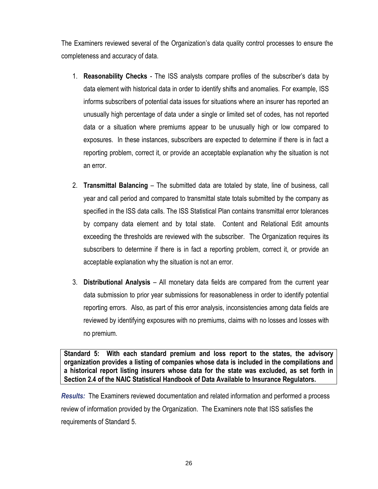The Examiners reviewed several of the Organization's data quality control processes to ensure the completeness and accuracy of data.

- 1. **Reasonability Checks** The ISS analysts compare profiles of the subscriber's data by data element with historical data in order to identify shifts and anomalies. For example, ISS informs subscribers of potential data issues for situations where an insurer has reported an unusually high percentage of data under a single or limited set of codes, has not reported data or a situation where premiums appear to be unusually high or low compared to exposures. In these instances, subscribers are expected to determine if there is in fact a reporting problem, correct it, or provide an acceptable explanation why the situation is not an error.
- 2. **Transmittal Balancing** The submitted data are totaled by state, line of business, call year and call period and compared to transmittal state totals submitted by the company as specified in the ISS data calls. The ISS Statistical Plan contains transmittal error tolerances by company data element and by total state. Content and Relational Edit amounts exceeding the thresholds are reviewed with the subscriber. The Organization requires its subscribers to determine if there is in fact a reporting problem, correct it, or provide an acceptable explanation why the situation is not an error.
- 3. **Distributional Analysis** All monetary data fields are compared from the current year data submission to prior year submissions for reasonableness in order to identify potential reporting errors. Also, as part of this error analysis, inconsistencies among data fields are reviewed by identifying exposures with no premiums, claims with no losses and losses with no premium.

**Standard 5: With each standard premium and loss report to the states, the advisory organization provides a listing of companies whose data is included in the compilations and a historical report listing insurers whose data for the state was excluded, as set forth in Section 2.4 of the NAIC Statistical Handbook of Data Available to Insurance Regulators.**

*Results:* The Examiners reviewed documentation and related information and performed a process review of information provided by the Organization. The Examiners note that ISS satisfies the requirements of Standard 5.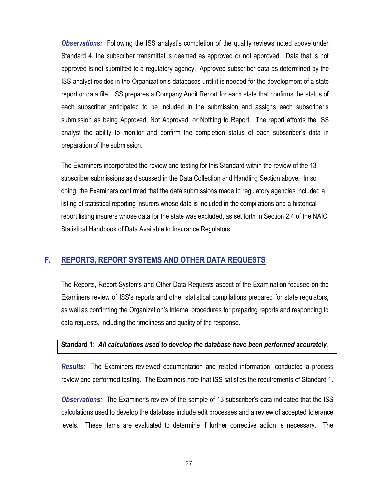*Observations:* Following the ISS analyst's completion of the quality reviews noted above under Standard 4, the subscriber transmittal is deemed as approved or not approved. Data that is not approved is not submitted to a regulatory agency. Approved subscriber data as determined by the ISS analyst resides in the Organization's databases until it is needed for the development of a state report or data file. ISS prepares a Company Audit Report for each state that confirms the status of each subscriber anticipated to be included in the submission and assigns each subscriber's submission as being Approved, Not Approved, or Nothing to Report. The report affords the ISS analyst the ability to monitor and confirm the completion status of each subscriber's data in preparation of the submission.

The Examiners incorporated the review and testing for this Standard within the review of the 13 subscriber submissions as discussed in the Data Collection and Handling Section above. In so doing, the Examiners confirmed that the data submissions made to regulatory agencies included a listing of statistical reporting insurers whose data is included in the compilations and a historical report listing insurers whose data for the state was excluded, as set forth in Section 2.4 of the NAIC Statistical Handbook of Data Available to Insurance Regulators.

## **F. REPORTS, REPORT SYSTEMS AND OTHER DATA REQUESTS**

The Reports, Report Systems and Other Data Requests aspect of the Examination focused on the Examiners review of ISS's reports and other statistical compilations prepared for state regulators, as well as confirming the Organization's internal procedures for preparing reports and responding to data requests, including the timeliness and quality of the response.

#### **Standard 1:** *All calculations used to develop the database have been performed accurately.*

*Results:* The Examiners reviewed documentation and related information, conducted a process review and performed testing. The Examiners note that ISS satisfies the requirements of Standard 1.

*Observations:* The Examiner's review of the sample of 13 subscriber's data indicated that the ISS calculations used to develop the database include edit processes and a review of accepted tolerance levels. These items are evaluated to determine if further corrective action is necessary. The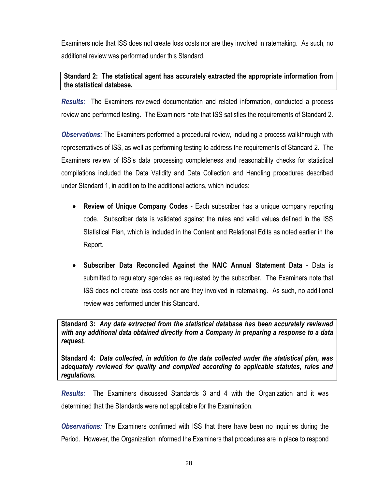Examiners note that ISS does not create loss costs nor are they involved in ratemaking. As such, no additional review was performed under this Standard.

## **Standard 2: The statistical agent has accurately extracted the appropriate information from the statistical database.**

*Results:* The Examiners reviewed documentation and related information, conducted a process review and performed testing. The Examiners note that ISS satisfies the requirements of Standard 2.

*Observations:* The Examiners performed a procedural review, including a process walkthrough with representatives of ISS, as well as performing testing to address the requirements of Standard 2. The Examiners review of ISS's data processing completeness and reasonability checks for statistical compilations included the Data Validity and Data Collection and Handling procedures described under Standard 1, in addition to the additional actions, which includes:

- **Review of Unique Company Codes** Each subscriber has a unique company reporting code. Subscriber data is validated against the rules and valid values defined in the ISS Statistical Plan, which is included in the Content and Relational Edits as noted earlier in the Report.
- **Subscriber Data Reconciled Against the NAIC Annual Statement Data** Data is submitted to regulatory agencies as requested by the subscriber. The Examiners note that ISS does not create loss costs nor are they involved in ratemaking. As such, no additional review was performed under this Standard.

**Standard 3:** *Any data extracted from the statistical database has been accurately reviewed with any additional data obtained directly from a Company in preparing a response to a data request.*

**Standard 4:** *Data collected, in addition to the data collected under the statistical plan, was adequately reviewed for quality and compiled according to applicable statutes, rules and regulations.* 

*Results:* The Examiners discussed Standards 3 and 4 with the Organization and it was determined that the Standards were not applicable for the Examination.

*Observations:* The Examiners confirmed with ISS that there have been no inquiries during the Period. However, the Organization informed the Examiners that procedures are in place to respond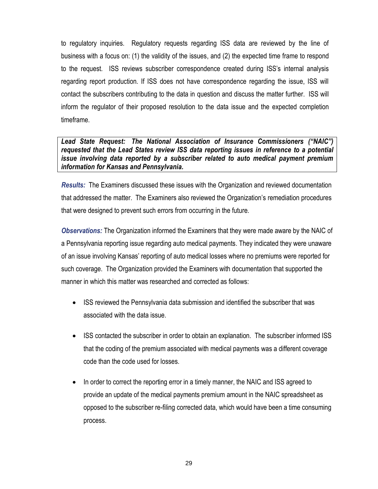to regulatory inquiries. Regulatory requests regarding ISS data are reviewed by the line of business with a focus on: (1) the validity of the issues, and (2) the expected time frame to respond to the request. ISS reviews subscriber correspondence created during ISS's internal analysis regarding report production. If ISS does not have correspondence regarding the issue, ISS will contact the subscribers contributing to the data in question and discuss the matter further. ISS will inform the regulator of their proposed resolution to the data issue and the expected completion timeframe.

*Lead State Request: The National Association of Insurance Commissioners ("NAIC") requested that the Lead States review ISS data reporting issues in reference to a potential issue involving data reported by a subscriber related to auto medical payment premium information for Kansas and Pennsylvania.* 

*Results:* The Examiners discussed these issues with the Organization and reviewed documentation that addressed the matter. The Examiners also reviewed the Organization's remediation procedures that were designed to prevent such errors from occurring in the future.

*Observations:* The Organization informed the Examiners that they were made aware by the NAIC of a Pennsylvania reporting issue regarding auto medical payments. They indicated they were unaware of an issue involving Kansas' reporting of auto medical losses where no premiums were reported for such coverage. The Organization provided the Examiners with documentation that supported the manner in which this matter was researched and corrected as follows:

- ISS reviewed the Pennsylvania data submission and identified the subscriber that was associated with the data issue.
- ISS contacted the subscriber in order to obtain an explanation. The subscriber informed ISS that the coding of the premium associated with medical payments was a different coverage code than the code used for losses.
- In order to correct the reporting error in a timely manner, the NAIC and ISS agreed to provide an update of the medical payments premium amount in the NAIC spreadsheet as opposed to the subscriber re-filing corrected data, which would have been a time consuming process.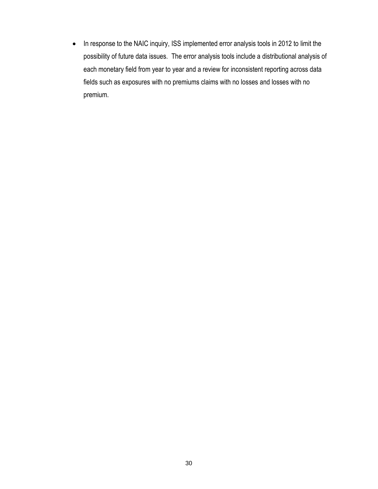• In response to the NAIC inquiry, ISS implemented error analysis tools in 2012 to limit the possibility of future data issues. The error analysis tools include a distributional analysis of each monetary field from year to year and a review for inconsistent reporting across data fields such as exposures with no premiums claims with no losses and losses with no premium.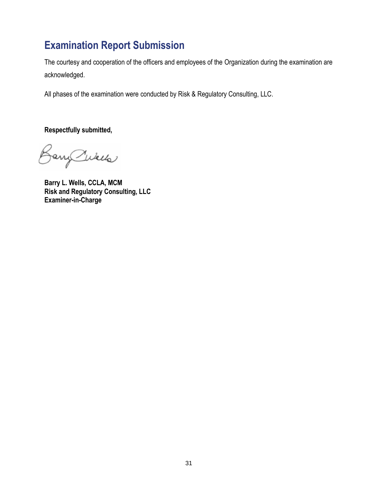## **Examination Report Submission**

The courtesy and cooperation of the officers and employees of the Organization during the examination are acknowledged.

All phases of the examination were conducted by Risk & Regulatory Consulting, LLC.

**Respectfully submitted,**

BaryCukels

**Barry L. Wells, CCLA, MCM Risk and Regulatory Consulting, LLC Examiner-in-Charge**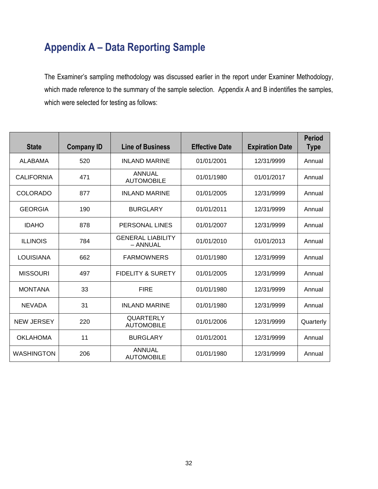## **Appendix A – Data Reporting Sample**

The Examiner's sampling methodology was discussed earlier in the report under Examiner Methodology, which made reference to the summary of the sample selection. Appendix A and B indentifies the samples, which were selected for testing as follows:

| <b>State</b>      | <b>Company ID</b> | <b>Line of Business</b>               | <b>Effective Date</b> | <b>Expiration Date</b> | <b>Period</b><br><b>Type</b> |
|-------------------|-------------------|---------------------------------------|-----------------------|------------------------|------------------------------|
| <b>ALABAMA</b>    | 520               | <b>INLAND MARINE</b>                  | 01/01/2001            | 12/31/9999             | Annual                       |
| <b>CALIFORNIA</b> | 471               | <b>ANNUAL</b><br><b>AUTOMOBILE</b>    | 01/01/1980            | 01/01/2017             | Annual                       |
| <b>COLORADO</b>   | 877               | <b>INLAND MARINE</b>                  | 01/01/2005            | 12/31/9999             | Annual                       |
| <b>GEORGIA</b>    | 190               | <b>BURGLARY</b>                       | 01/01/2011            | 12/31/9999             | Annual                       |
| <b>IDAHO</b>      | 878               | PERSONAL LINES                        | 01/01/2007            | 12/31/9999             | Annual                       |
| <b>ILLINOIS</b>   | 784               | <b>GENERAL LIABILITY</b><br>- ANNUAL  | 01/01/2010            | 01/01/2013             | Annual                       |
| <b>LOUISIANA</b>  | 662               | <b>FARMOWNERS</b>                     | 01/01/1980            | 12/31/9999             | Annual                       |
| <b>MISSOURI</b>   | 497               | <b>FIDELITY &amp; SURETY</b>          | 01/01/2005            | 12/31/9999             | Annual                       |
| <b>MONTANA</b>    | 33                | <b>FIRE</b>                           | 01/01/1980            | 12/31/9999             | Annual                       |
| <b>NEVADA</b>     | 31                | <b>INLAND MARINE</b>                  | 01/01/1980            | 12/31/9999             | Annual                       |
| <b>NEW JERSEY</b> | 220               | <b>QUARTERLY</b><br><b>AUTOMOBILE</b> | 01/01/2006            | 12/31/9999             | Quarterly                    |
| <b>OKLAHOMA</b>   | 11                | <b>BURGLARY</b>                       | 01/01/2001            | 12/31/9999             | Annual                       |
| <b>WASHINGTON</b> | 206               | ANNUAL<br><b>AUTOMOBILE</b>           | 01/01/1980            | 12/31/9999             | Annual                       |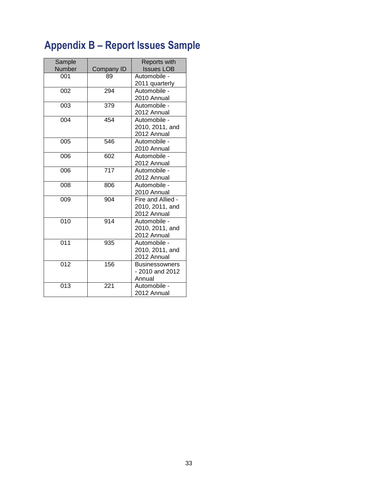# **Appendix B – Report Issues Sample**

| Sample<br>Number | Company ID | <b>Reports with</b><br><b>Issues LOB</b>            |
|------------------|------------|-----------------------------------------------------|
| 001              | 89         | Automobile -<br>2011 quarterly                      |
| 002              | 294        | Automobile -<br>2010 Annual                         |
| 003              | 379        | Automobile -<br>2012 Annual                         |
| 004              | 454        | Automobile -<br>2010, 2011, and<br>2012 Annual      |
| 005              | 546        | Automobile -<br>2010 Annual                         |
| 006              | 602        | Automobile -<br>2012 Annual                         |
| 006              | 717        | Automobile -<br>2012 Annual                         |
| 008              | 806        | Automobile -<br>2010 Annual                         |
| 009              | 904        | Fire and Allied -<br>2010, 2011, and<br>2012 Annual |
| 010              | 914        | Automobile -<br>2010, 2011, and<br>2012 Annual      |
| 011              | 935        | Automobile -<br>2010, 2011, and<br>2012 Annual      |
| 012              | 156        | <b>Businessowners</b><br>- 2010 and 2012<br>Annual  |
| 013              | 221        | Automobile -<br>2012 Annual                         |